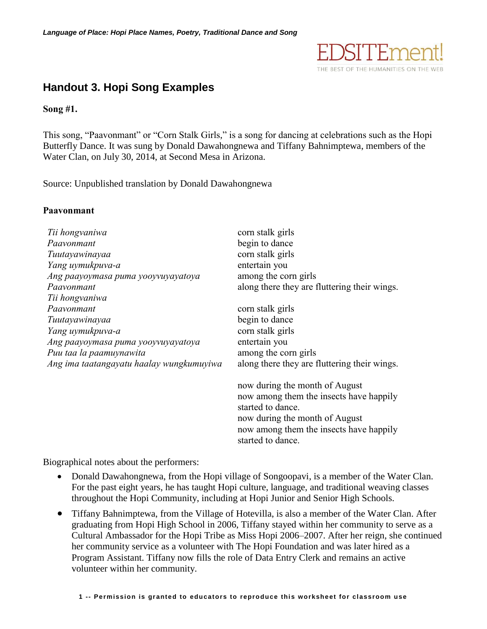

# **Handout 3. Hopi Song Examples**

**Song #1.** 

This song, "Paavonmant" or "Corn Stalk Girls," is a song for dancing at celebrations such as the Hopi Butterfly Dance. It was sung by Donald Dawahongnewa and Tiffany Bahnimptewa, members of the Water Clan, on July 30, 2014, at Second Mesa in Arizona.

Source: Unpublished translation by Donald Dawahongnewa

# **Paavonmant**

| Tii hongvaniwa<br>Paavonmant<br>Tuutayawinayaa<br>Yang uymukpuva-a<br>Ang paayoymasa puma yooyvuyayatoya | corn stalk girls<br>begin to dance<br>corn stalk girls<br>entertain you<br>among the corn girls                                                                                                  |
|----------------------------------------------------------------------------------------------------------|--------------------------------------------------------------------------------------------------------------------------------------------------------------------------------------------------|
| Paayonmant<br>Tii hongvaniwa                                                                             | along there they are fluttering their wings.                                                                                                                                                     |
| Paavonmant                                                                                               | corn stalk girls                                                                                                                                                                                 |
| Tuutayawinayaa                                                                                           | begin to dance                                                                                                                                                                                   |
| Yang uymukpuva-a                                                                                         | corn stalk girls                                                                                                                                                                                 |
| Ang paayoymasa puma yooyvuyayatoya                                                                       | entertain you                                                                                                                                                                                    |
| Puu taa la paamuynawita                                                                                  | among the corn girls                                                                                                                                                                             |
| Ang ima taatangayatu haalay wungkumuyiwa                                                                 | along there they are fluttering their wings.                                                                                                                                                     |
|                                                                                                          | now during the month of August<br>now among them the insects have happily<br>started to dance.<br>now during the month of August<br>now among them the insects have happily<br>started to dance. |

Biographical notes about the performers:

- Donald Dawahongnewa, from the Hopi village of Songoopavi, is a member of the Water Clan. For the past eight years, he has taught Hopi culture, language, and traditional weaving classes throughout the Hopi Community, including at Hopi Junior and Senior High Schools.
- Tiffany Bahnimptewa, from the Village of Hotevilla, is also a member of the Water Clan. After graduating from Hopi High School in 2006, Tiffany stayed within her community to serve as a Cultural Ambassador for the Hopi Tribe as Miss Hopi 2006–2007. After her reign, she continued her community service as a volunteer with The Hopi Foundation and was later hired as a Program Assistant. Tiffany now fills the role of Data Entry Clerk and remains an active volunteer within her community.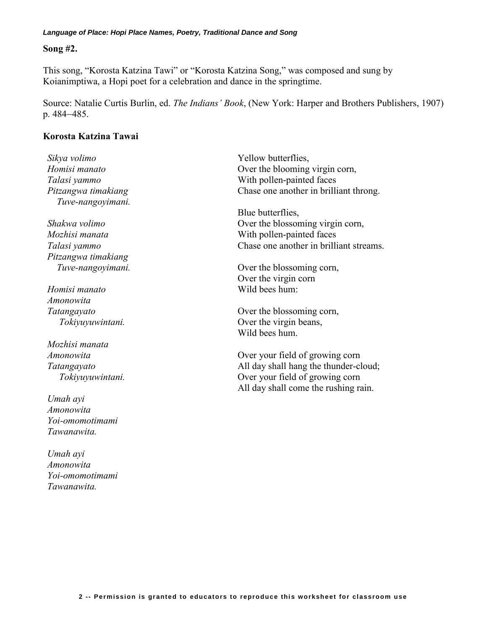#### *Language of Place: Hopi Place Names, Poetry, Traditional Dance and Song*

### **Song #2.**

This song, "Korosta Katzina Tawi" or "Korosta Katzina Song," was composed and sung by Koianimptiwa, a Hopi poet for a celebration and dance in the springtime.

Source: Natalie Curtis Burlin, ed. *The Indians' Book*, (New York: Harper and Brothers Publishers, 1907) p. 484–485.

# **Korosta Katzina Tawai**

*Sikya volimo Homisi manato Talasi yammo Pitzangwa timakiang Tuve-nangoyimani. Shakwa volimo Mozhisi manata Talasi yammo*

*Pitzangwa timakiang Tuve-nangoyimani.*

*Homisi manato Amonowita Tatangayato Tokiyuyuwintani.*

*Mozhisi manata Amonowita Tatangayato Tokiyuyuwintani.*

*Umah ayi Amonowita Yoi-omomotimami Tawanawita.*

*Umah ayi Amonowita Yoi-omomotimami Tawanawita.*

Yellow butterflies, Over the blooming virgin corn, With pollen-painted faces Chase one another in brilliant throng.

Blue butterflies, Over the blossoming virgin corn, With pollen-painted faces Chase one another in brilliant streams.

Over the blossoming corn, Over the virgin corn Wild bees hum:

Over the blossoming corn, Over the virgin beans, Wild bees hum.

Over your field of growing corn All day shall hang the thunder-cloud; Over your field of growing corn All day shall come the rushing rain.